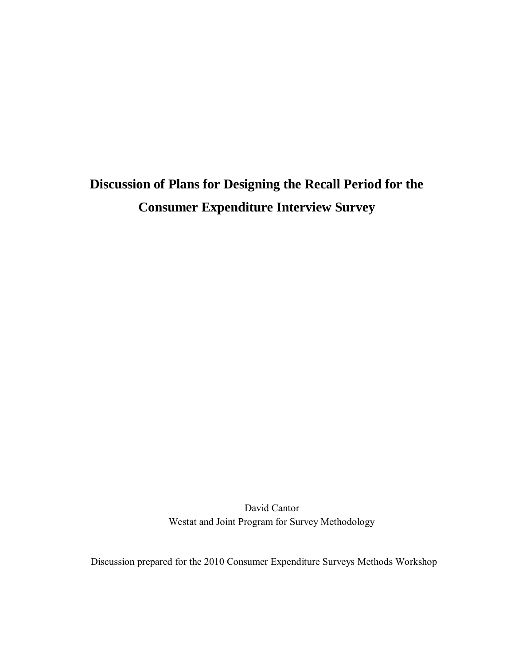# **Discussion of Plans for Designing the Recall Period for the Consumer Expenditure Interview Survey**

David Cantor Westat and Joint Program for Survey Methodology

Discussion prepared for the 2010 Consumer Expenditure Surveys Methods Workshop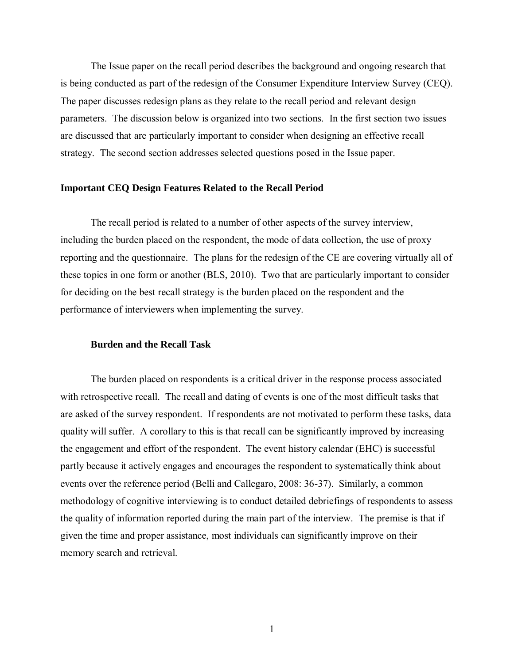The Issue paper on the recall period describes the background and ongoing research that is being conducted as part of the redesign of the Consumer Expenditure Interview Survey (CEQ). The paper discusses redesign plans as they relate to the recall period and relevant design parameters. The discussion below is organized into two sections. In the first section two issues are discussed that are particularly important to consider when designing an effective recall strategy. The second section addresses selected questions posed in the Issue paper.

### **Important CEQ Design Features Related to the Recall Period**

The recall period is related to a number of other aspects of the survey interview, including the burden placed on the respondent, the mode of data collection, the use of proxy reporting and the questionnaire. The plans for the redesign of the CE are covering virtually all of these topics in one form or another (BLS, 2010). Two that are particularly important to consider for deciding on the best recall strategy is the burden placed on the respondent and the performance of interviewers when implementing the survey.

### **Burden and the Recall Task**

The burden placed on respondents is a critical driver in the response process associated with retrospective recall. The recall and dating of events is one of the most difficult tasks that are asked of the survey respondent. If respondents are not motivated to perform these tasks, data quality will suffer. A corollary to this is that recall can be significantly improved by increasing the engagement and effort of the respondent. The event history calendar (EHC) is successful partly because it actively engages and encourages the respondent to systematically think about events over the reference period (Belli and Callegaro, 2008: 36-37). Similarly, a common methodology of cognitive interviewing is to conduct detailed debriefings of respondents to assess the quality of information reported during the main part of the interview. The premise is that if given the time and proper assistance, most individuals can significantly improve on their memory search and retrieval.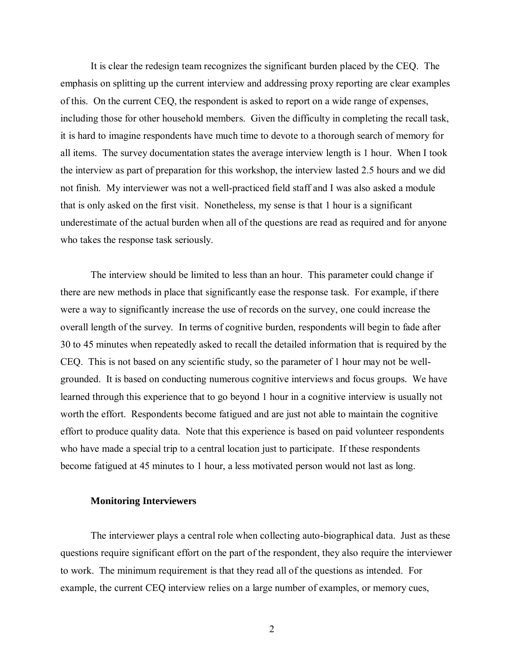It is clear the redesign team recognizes the significant burden placed by the CEQ. The emphasis on splitting up the current interview and addressing proxy reporting are clear examples of this. On the current CEQ, the respondent is asked to report on a wide range of expenses, including those for other household members. Given the difficulty in completing the recall task, it is hard to imagine respondents have much time to devote to a thorough search of memory for all items. The survey documentation states the average interview length is 1 hour. When I took the interview as part of preparation for this workshop, the interview lasted 2.5 hours and we did not finish. My interviewer was not a well-practiced field staff and I was also asked a module that is only asked on the first visit. Nonetheless, my sense is that 1 hour is a significant underestimate of the actual burden when all of the questions are read as required and for anyone who takes the response task seriously.

The interview should be limited to less than an hour. This parameter could change if there are new methods in place that significantly ease the response task. For example, if there were a way to significantly increase the use of records on the survey, one could increase the overall length of the survey. In terms of cognitive burden, respondents will begin to fade after 30 to 45 minutes when repeatedly asked to recall the detailed information that is required by the CEQ. This is not based on any scientific study, so the parameter of 1 hour may not be wellgrounded. It is based on conducting numerous cognitive interviews and focus groups. We have learned through this experience that to go beyond 1 hour in a cognitive interview is usually not worth the effort. Respondents become fatigued and are just not able to maintain the cognitive effort to produce quality data. Note that this experience is based on paid volunteer respondents who have made a special trip to a central location just to participate. If these respondents become fatigued at 45 minutes to 1 hour, a less motivated person would not last as long.

### **Monitoring Interviewers**

The interviewer plays a central role when collecting auto-biographical data. Just as these questions require significant effort on the part of the respondent, they also require the interviewer to work. The minimum requirement is that they read all of the questions as intended. For example, the current CEQ interview relies on a large number of examples, or memory cues,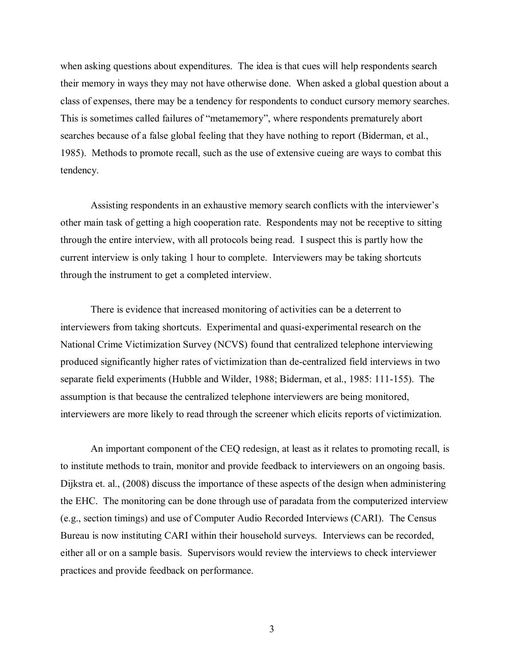when asking questions about expenditures. The idea is that cues will help respondents search their memory in ways they may not have otherwise done. When asked a global question about a class of expenses, there may be a tendency for respondents to conduct cursory memory searches. This is sometimes called failures of "metamemory", where respondents prematurely abort searches because of a false global feeling that they have nothing to report (Biderman, et al., 1985). Methods to promote recall, such as the use of extensive cueing are ways to combat this tendency.

Assisting respondents in an exhaustive memory search conflicts with the interviewer's other main task of getting a high cooperation rate. Respondents may not be receptive to sitting through the entire interview, with all protocols being read. I suspect this is partly how the current interview is only taking 1 hour to complete. Interviewers may be taking shortcuts through the instrument to get a completed interview.

There is evidence that increased monitoring of activities can be a deterrent to interviewers from taking shortcuts. Experimental and quasi-experimental research on the National Crime Victimization Survey (NCVS) found that centralized telephone interviewing produced significantly higher rates of victimization than de-centralized field interviews in two separate field experiments (Hubble and Wilder, 1988; Biderman, et al., 1985: 111-155). The assumption is that because the centralized telephone interviewers are being monitored, interviewers are more likely to read through the screener which elicits reports of victimization.

An important component of the CEQ redesign, at least as it relates to promoting recall, is to institute methods to train, monitor and provide feedback to interviewers on an ongoing basis. Dijkstra et. al., (2008) discuss the importance of these aspects of the design when administering the EHC. The monitoring can be done through use of paradata from the computerized interview (e.g., section timings) and use of Computer Audio Recorded Interviews (CARI). The Census Bureau is now instituting CARI within their household surveys. Interviews can be recorded, either all or on a sample basis. Supervisors would review the interviews to check interviewer practices and provide feedback on performance.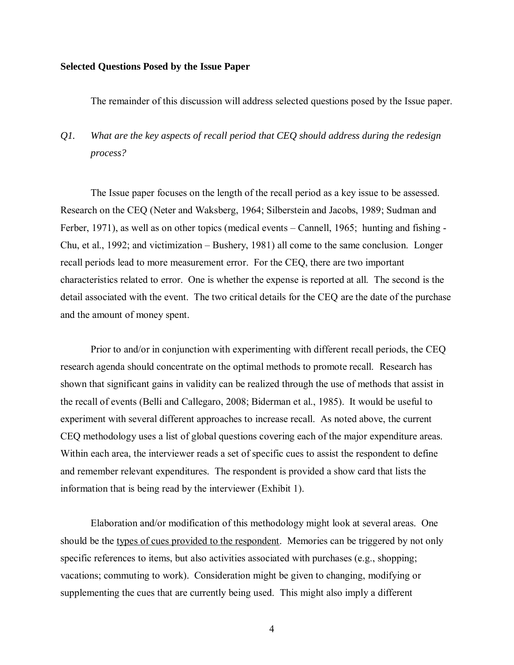### **Selected Questions Posed by the Issue Paper**

The remainder of this discussion will address selected questions posed by the Issue paper.

## *Q1. What are the key aspects of recall period that CEQ should address during the redesign process?*

The Issue paper focuses on the length of the recall period as a key issue to be assessed. Research on the CEQ (Neter and Waksberg, 1964; Silberstein and Jacobs, 1989; Sudman and Ferber, 1971), as well as on other topics (medical events – Cannell, 1965; hunting and fishing - Chu, et al., 1992; and victimization – Bushery, 1981) all come to the same conclusion. Longer recall periods lead to more measurement error. For the CEQ, there are two important characteristics related to error. One is whether the expense is reported at all. The second is the detail associated with the event. The two critical details for the CEQ are the date of the purchase and the amount of money spent.

Prior to and/or in conjunction with experimenting with different recall periods, the CEQ research agenda should concentrate on the optimal methods to promote recall. Research has shown that significant gains in validity can be realized through the use of methods that assist in the recall of events (Belli and Callegaro, 2008; Biderman et al., 1985). It would be useful to experiment with several different approaches to increase recall. As noted above, the current CEQ methodology uses a list of global questions covering each of the major expenditure areas. Within each area, the interviewer reads a set of specific cues to assist the respondent to define and remember relevant expenditures. The respondent is provided a show card that lists the information that is being read by the interviewer (Exhibit 1).

Elaboration and/or modification of this methodology might look at several areas. One should be the types of cues provided to the respondent. Memories can be triggered by not only specific references to items, but also activities associated with purchases (e.g., shopping; vacations; commuting to work). Consideration might be given to changing, modifying or supplementing the cues that are currently being used. This might also imply a different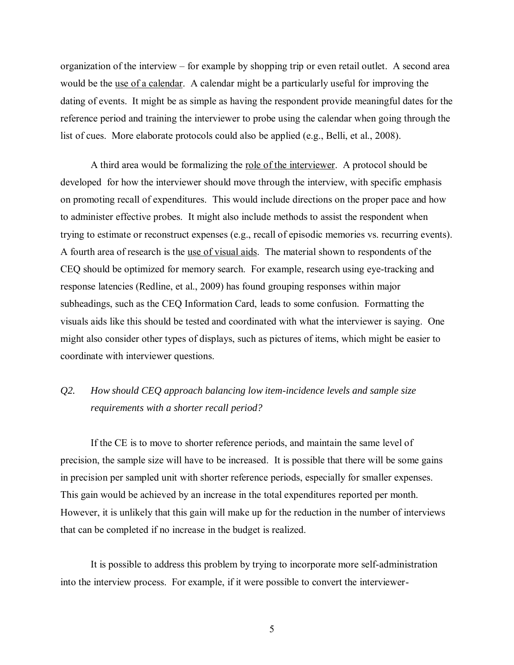organization of the interview – for example by shopping trip or even retail outlet. A second area would be the use of a calendar. A calendar might be a particularly useful for improving the dating of events. It might be as simple as having the respondent provide meaningful dates for the reference period and training the interviewer to probe using the calendar when going through the list of cues. More elaborate protocols could also be applied (e.g., Belli, et al., 2008).

A third area would be formalizing the role of the interviewer. A protocol should be developed for how the interviewer should move through the interview, with specific emphasis on promoting recall of expenditures. This would include directions on the proper pace and how to administer effective probes. It might also include methods to assist the respondent when trying to estimate or reconstruct expenses (e.g., recall of episodic memories vs. recurring events). A fourth area of research is the use of visual aids. The material shown to respondents of the CEQ should be optimized for memory search. For example, research using eye-tracking and response latencies (Redline, et al., 2009) has found grouping responses within major subheadings, such as the CEQ Information Card, leads to some confusion. Formatting the visuals aids like this should be tested and coordinated with what the interviewer is saying. One might also consider other types of displays, such as pictures of items, which might be easier to coordinate with interviewer questions.

## *Q2. How should CEQ approach balancing low item-incidence levels and sample size requirements with a shorter recall period?*

If the CE is to move to shorter reference periods, and maintain the same level of precision, the sample size will have to be increased. It is possible that there will be some gains in precision per sampled unit with shorter reference periods, especially for smaller expenses. This gain would be achieved by an increase in the total expenditures reported per month. However, it is unlikely that this gain will make up for the reduction in the number of interviews that can be completed if no increase in the budget is realized.

It is possible to address this problem by trying to incorporate more self-administration into the interview process. For example, if it were possible to convert the interviewer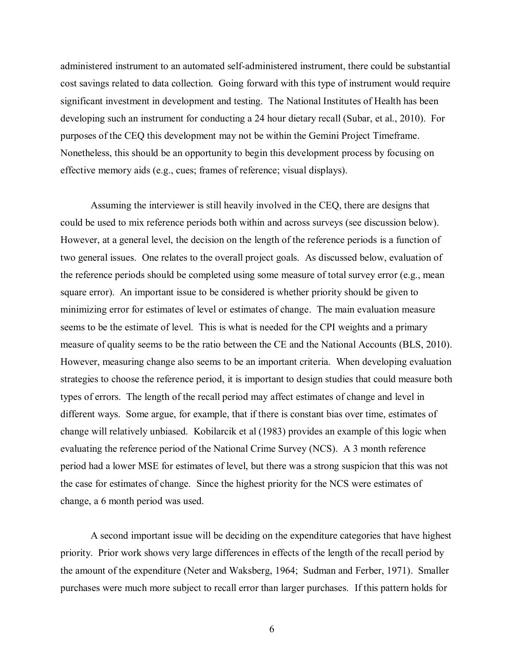administered instrument to an automated self-administered instrument, there could be substantial cost savings related to data collection. Going forward with this type of instrument would require significant investment in development and testing. The National Institutes of Health has been developing such an instrument for conducting a 24 hour dietary recall (Subar, et al., 2010). For purposes of the CEQ this development may not be within the Gemini Project Timeframe. Nonetheless, this should be an opportunity to begin this development process by focusing on effective memory aids (e.g., cues; frames of reference; visual displays).

Assuming the interviewer is still heavily involved in the CEQ, there are designs that could be used to mix reference periods both within and across surveys (see discussion below). However, at a general level, the decision on the length of the reference periods is a function of two general issues. One relates to the overall project goals. As discussed below, evaluation of the reference periods should be completed using some measure of total survey error (e.g., mean square error). An important issue to be considered is whether priority should be given to minimizing error for estimates of level or estimates of change. The main evaluation measure seems to be the estimate of level. This is what is needed for the CPI weights and a primary measure of quality seems to be the ratio between the CE and the National Accounts (BLS, 2010). However, measuring change also seems to be an important criteria. When developing evaluation strategies to choose the reference period, it is important to design studies that could measure both types of errors. The length of the recall period may affect estimates of change and level in different ways. Some argue, for example, that if there is constant bias over time, estimates of change will relatively unbiased. Kobilarcik et al (1983) provides an example of this logic when evaluating the reference period of the National Crime Survey (NCS). A 3 month reference period had a lower MSE for estimates of level, but there was a strong suspicion that this was not the case for estimates of change. Since the highest priority for the NCS were estimates of change, a 6 month period was used.

A second important issue will be deciding on the expenditure categories that have highest priority. Prior work shows very large differences in effects of the length of the recall period by the amount of the expenditure (Neter and Waksberg, 1964; Sudman and Ferber, 1971). Smaller purchases were much more subject to recall error than larger purchases. If this pattern holds for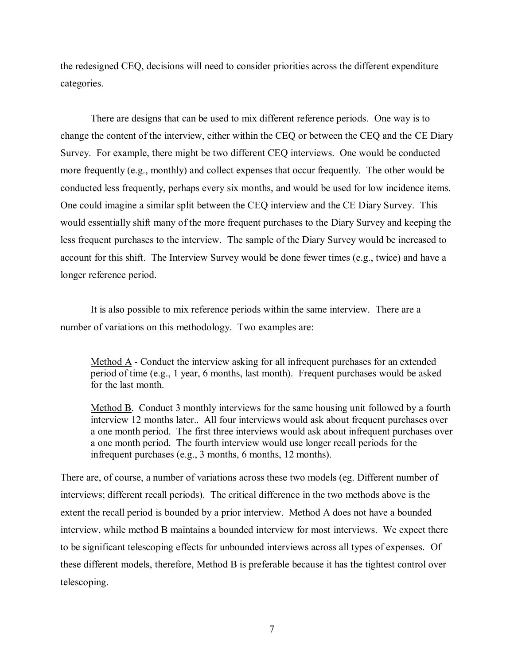the redesigned CEQ, decisions will need to consider priorities across the different expenditure categories.

There are designs that can be used to mix different reference periods. One way is to change the content of the interview, either within the CEQ or between the CEQ and the CE Diary Survey. For example, there might be two different CEQ interviews. One would be conducted more frequently (e.g., monthly) and collect expenses that occur frequently. The other would be conducted less frequently, perhaps every six months, and would be used for low incidence items. One could imagine a similar split between the CEQ interview and the CE Diary Survey. This would essentially shift many of the more frequent purchases to the Diary Survey and keeping the less frequent purchases to the interview. The sample of the Diary Survey would be increased to account for this shift. The Interview Survey would be done fewer times (e.g., twice) and have a longer reference period.

It is also possible to mix reference periods within the same interview. There are a number of variations on this methodology. Two examples are:

Method A - Conduct the interview asking for all infrequent purchases for an extended period of time (e.g., 1 year, 6 months, last month). Frequent purchases would be asked for the last month.

Method B. Conduct 3 monthly interviews for the same housing unit followed by a fourth interview 12 months later.. All four interviews would ask about frequent purchases over a one month period. The first three interviews would ask about infrequent purchases over a one month period. The fourth interview would use longer recall periods for the infrequent purchases (e.g., 3 months, 6 months, 12 months).

There are, of course, a number of variations across these two models (eg. Different number of interviews; different recall periods). The critical difference in the two methods above is the extent the recall period is bounded by a prior interview. Method A does not have a bounded interview, while method B maintains a bounded interview for most interviews. We expect there to be significant telescoping effects for unbounded interviews across all types of expenses. Of these different models, therefore, Method B is preferable because it has the tightest control over telescoping.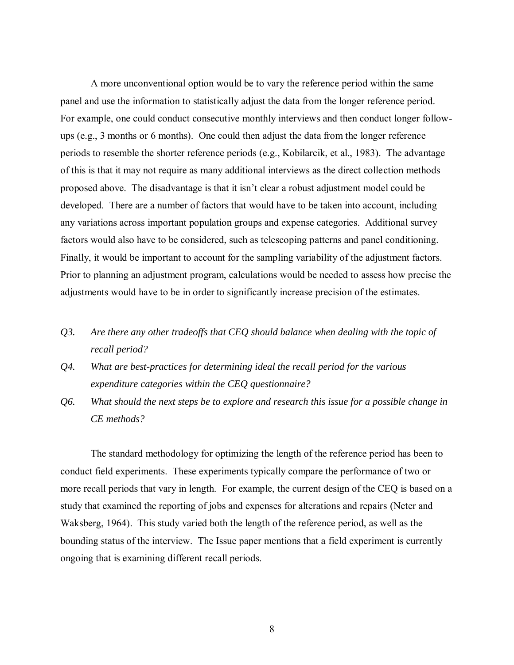A more unconventional option would be to vary the reference period within the same panel and use the information to statistically adjust the data from the longer reference period. For example, one could conduct consecutive monthly interviews and then conduct longer followups (e.g., 3 months or 6 months). One could then adjust the data from the longer reference periods to resemble the shorter reference periods (e.g., Kobilarcik, et al., 1983). The advantage of this is that it may not require as many additional interviews as the direct collection methods proposed above. The disadvantage is that it isn't clear a robust adjustment model could be developed. There are a number of factors that would have to be taken into account, including any variations across important population groups and expense categories. Additional survey factors would also have to be considered, such as telescoping patterns and panel conditioning. Finally, it would be important to account for the sampling variability of the adjustment factors. Prior to planning an adjustment program, calculations would be needed to assess how precise the adjustments would have to be in order to significantly increase precision of the estimates.

- *Q3. Are there any other tradeoffs that CEQ should balance when dealing with the topic of recall period?*
- *Q4. What are best-practices for determining ideal the recall period for the various expenditure categories within the CEQ questionnaire?*
- *Q6. What should the next steps be to explore and research this issue for a possible change in CE methods?*

The standard methodology for optimizing the length of the reference period has been to conduct field experiments. These experiments typically compare the performance of two or more recall periods that vary in length. For example, the current design of the CEQ is based on a study that examined the reporting of jobs and expenses for alterations and repairs (Neter and Waksberg, 1964). This study varied both the length of the reference period, as well as the bounding status of the interview. The Issue paper mentions that a field experiment is currently ongoing that is examining different recall periods.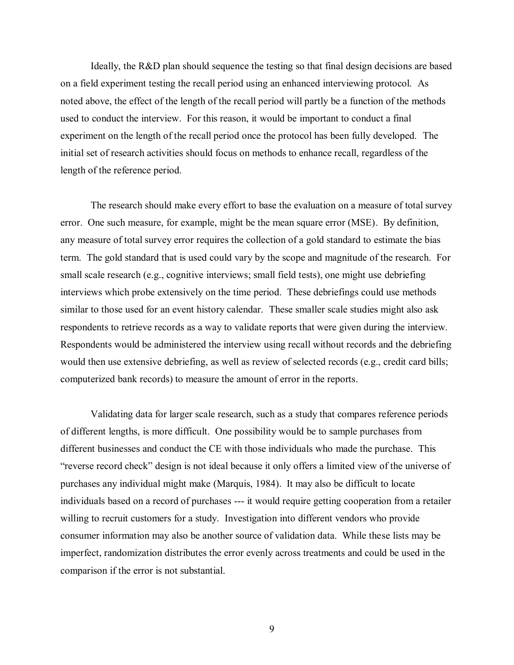Ideally, the R&D plan should sequence the testing so that final design decisions are based on a field experiment testing the recall period using an enhanced interviewing protocol. As noted above, the effect of the length of the recall period will partly be a function of the methods used to conduct the interview. For this reason, it would be important to conduct a final experiment on the length of the recall period once the protocol has been fully developed. The initial set of research activities should focus on methods to enhance recall, regardless of the length of the reference period.

The research should make every effort to base the evaluation on a measure of total survey error. One such measure, for example, might be the mean square error (MSE). By definition, any measure of total survey error requires the collection of a gold standard to estimate the bias term. The gold standard that is used could vary by the scope and magnitude of the research. For small scale research (e.g., cognitive interviews; small field tests), one might use debriefing interviews which probe extensively on the time period. These debriefings could use methods similar to those used for an event history calendar. These smaller scale studies might also ask respondents to retrieve records as a way to validate reports that were given during the interview. Respondents would be administered the interview using recall without records and the debriefing would then use extensive debriefing, as well as review of selected records (e.g., credit card bills; computerized bank records) to measure the amount of error in the reports.

Validating data for larger scale research, such as a study that compares reference periods of different lengths, is more difficult. One possibility would be to sample purchases from different businesses and conduct the CE with those individuals who made the purchase. This "reverse record check" design is not ideal because it only offers a limited view of the universe of purchases any individual might make (Marquis, 1984). It may also be difficult to locate individuals based on a record of purchases --- it would require getting cooperation from a retailer willing to recruit customers for a study. Investigation into different vendors who provide consumer information may also be another source of validation data. While these lists may be imperfect, randomization distributes the error evenly across treatments and could be used in the comparison if the error is not substantial.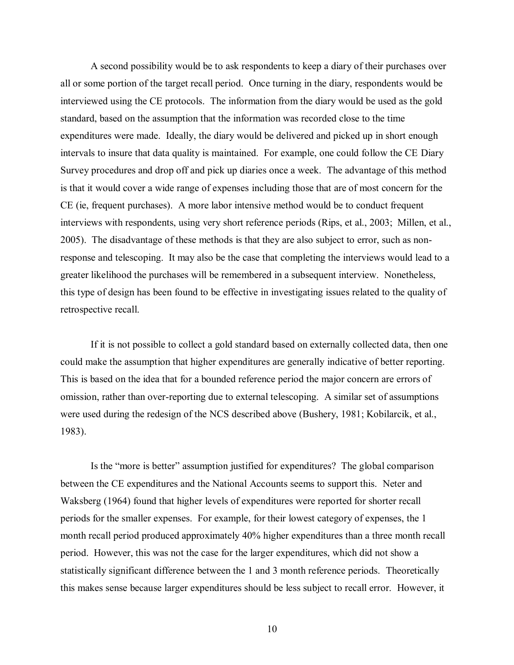A second possibility would be to ask respondents to keep a diary of their purchases over all or some portion of the target recall period. Once turning in the diary, respondents would be interviewed using the CE protocols. The information from the diary would be used as the gold standard, based on the assumption that the information was recorded close to the time expenditures were made. Ideally, the diary would be delivered and picked up in short enough intervals to insure that data quality is maintained. For example, one could follow the CE Diary Survey procedures and drop off and pick up diaries once a week. The advantage of this method is that it would cover a wide range of expenses including those that are of most concern for the CE (ie, frequent purchases). A more labor intensive method would be to conduct frequent interviews with respondents, using very short reference periods (Rips, et al., 2003; Millen, et al., 2005). The disadvantage of these methods is that they are also subject to error, such as nonresponse and telescoping. It may also be the case that completing the interviews would lead to a greater likelihood the purchases will be remembered in a subsequent interview. Nonetheless, this type of design has been found to be effective in investigating issues related to the quality of retrospective recall.

If it is not possible to collect a gold standard based on externally collected data, then one could make the assumption that higher expenditures are generally indicative of better reporting. This is based on the idea that for a bounded reference period the major concern are errors of omission, rather than over-reporting due to external telescoping. A similar set of assumptions were used during the redesign of the NCS described above (Bushery, 1981; Kobilarcik, et al., 1983).

Is the "more is better" assumption justified for expenditures? The global comparison between the CE expenditures and the National Accounts seems to support this. Neter and Waksberg (1964) found that higher levels of expenditures were reported for shorter recall periods for the smaller expenses. For example, for their lowest category of expenses, the 1 month recall period produced approximately 40% higher expenditures than a three month recall period. However, this was not the case for the larger expenditures, which did not show a statistically significant difference between the 1 and 3 month reference periods. Theoretically this makes sense because larger expenditures should be less subject to recall error. However, it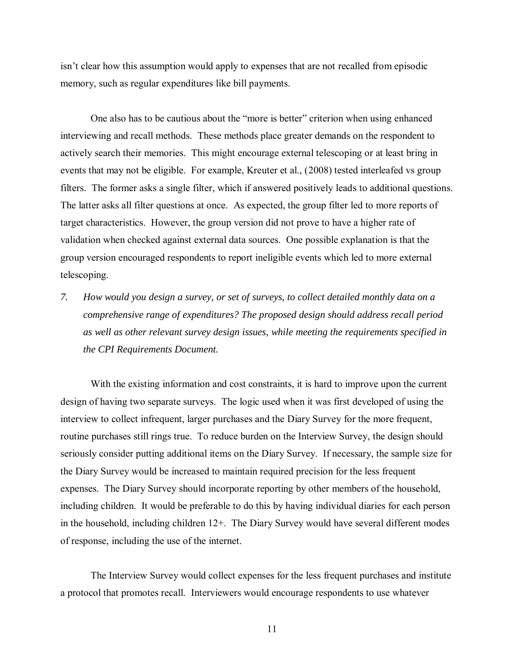isn't clear how this assumption would apply to expenses that are not recalled from episodic memory, such as regular expenditures like bill payments.

One also has to be cautious about the "more is better" criterion when using enhanced interviewing and recall methods. These methods place greater demands on the respondent to actively search their memories. This might encourage external telescoping or at least bring in events that may not be eligible. For example, Kreuter et al., (2008) tested interleafed vs group filters. The former asks a single filter, which if answered positively leads to additional questions. The latter asks all filter questions at once. As expected, the group filter led to more reports of target characteristics. However, the group version did not prove to have a higher rate of validation when checked against external data sources. One possible explanation is that the group version encouraged respondents to report ineligible events which led to more external telescoping.

*7. How would you design a survey, or set of surveys, to collect detailed monthly data on a comprehensive range of expenditures? The proposed design should address recall period as well as other relevant survey design issues, while meeting the requirements specified in the CPI Requirements Document.* 

With the existing information and cost constraints, it is hard to improve upon the current design of having two separate surveys. The logic used when it was first developed of using the interview to collect infrequent, larger purchases and the Diary Survey for the more frequent, routine purchases still rings true. To reduce burden on the Interview Survey, the design should seriously consider putting additional items on the Diary Survey. If necessary, the sample size for the Diary Survey would be increased to maintain required precision for the less frequent expenses. The Diary Survey should incorporate reporting by other members of the household, including children. It would be preferable to do this by having individual diaries for each person in the household, including children 12+. The Diary Survey would have several different modes of response, including the use of the internet.

The Interview Survey would collect expenses for the less frequent purchases and institute a protocol that promotes recall. Interviewers would encourage respondents to use whatever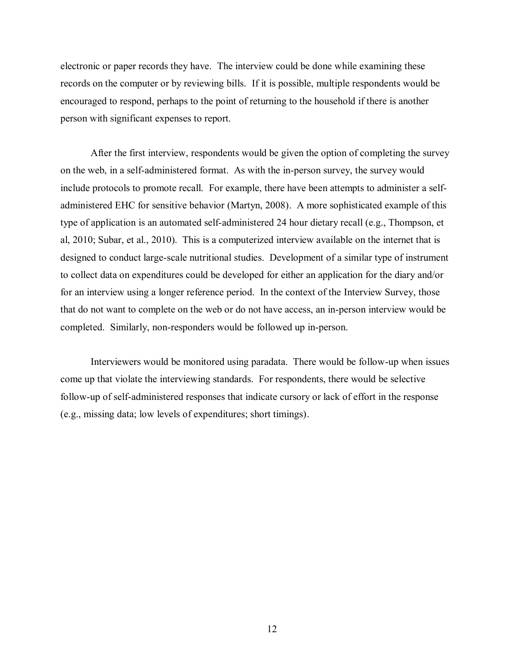electronic or paper records they have. The interview could be done while examining these records on the computer or by reviewing bills. If it is possible, multiple respondents would be encouraged to respond, perhaps to the point of returning to the household if there is another person with significant expenses to report.

After the first interview, respondents would be given the option of completing the survey on the web, in a self-administered format. As with the in-person survey, the survey would include protocols to promote recall. For example, there have been attempts to administer a selfadministered EHC for sensitive behavior (Martyn, 2008). A more sophisticated example of this type of application is an automated self-administered 24 hour dietary recall (e.g., Thompson, et al, 2010; Subar, et al., 2010). This is a computerized interview available on the internet that is designed to conduct large-scale nutritional studies. Development of a similar type of instrument to collect data on expenditures could be developed for either an application for the diary and/or for an interview using a longer reference period. In the context of the Interview Survey, those that do not want to complete on the web or do not have access, an in-person interview would be completed. Similarly, non-responders would be followed up in-person.

Interviewers would be monitored using paradata. There would be follow-up when issues come up that violate the interviewing standards. For respondents, there would be selective follow-up of self-administered responses that indicate cursory or lack of effort in the response (e.g., missing data; low levels of expenditures; short timings).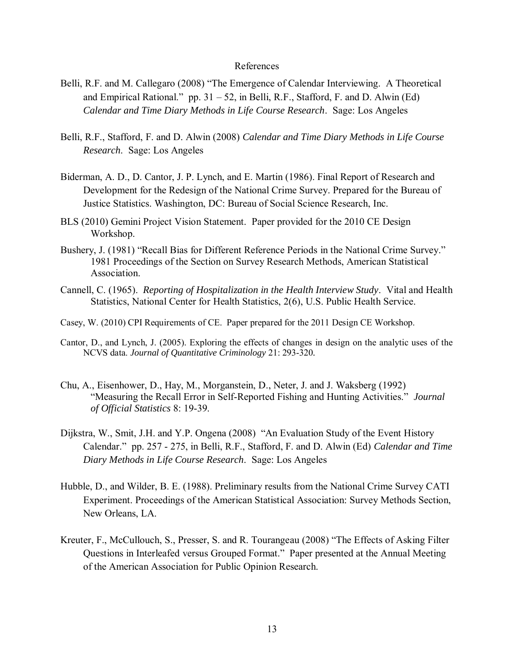### References

- Belli, R.F. and M. Callegaro (2008) "The Emergence of Calendar Interviewing. A Theoretical and Empirical Rational." pp.  $31 - 52$ , in Belli, R.F., Stafford, F. and D. Alwin (Ed) *Calendar and Time Diary Methods in Life Course Research*. Sage: Los Angeles
- Belli, R.F., Stafford, F. and D. Alwin (2008) *Calendar and Time Diary Methods in Life Course Research*. Sage: Los Angeles
- Biderman, A. D., D. Cantor, J. P. Lynch, and E. Martin (1986). Final Report of Research and Development for the Redesign of the National Crime Survey. Prepared for the Bureau of Justice Statistics. Washington, DC: Bureau of Social Science Research, Inc.
- BLS (2010) Gemini Project Vision Statement. Paper provided for the 2010 CE Design Workshop.
- Bushery, J. (1981) "Recall Bias for Different Reference Periods in the National Crime Survey." 1981 Proceedings of the Section on Survey Research Methods, American Statistical Association.
- Cannell, C. (1965). *Reporting of Hospitalization in the Health Interview Study*. Vital and Health Statistics, National Center for Health Statistics, 2(6), U.S. Public Health Service.
- Casey, W. (2010) CPI Requirements of CE. Paper prepared for the 2011 Design CE Workshop.
- Cantor, D., and Lynch, J. (2005). Exploring the effects of changes in design on the analytic uses of the NCVS data. *Journal of Quantitative Criminology* 21: 293-320*.*
- Chu, A., Eisenhower, D., Hay, M., Morganstein, D., Neter, J. and J. Waksberg (1992) "Measuring the Recall Error in Self-Reported Fishing and Hunting Activities." *Journal of Official Statistics* 8: 19-39.
- Dijkstra, W., Smit, J.H. and Y.P. Ongena (2008) "An Evaluation Study of the Event History Calendar." pp. 257 - 275, in Belli, R.F., Stafford, F. and D. Alwin (Ed) *Calendar and Time Diary Methods in Life Course Research*. Sage: Los Angeles
- Hubble, D., and Wilder, B. E. (1988). Preliminary results from the National Crime Survey CATI Experiment. Proceedings of the American Statistical Association: Survey Methods Section, New Orleans, LA.
- Kreuter, F., McCullouch, S., Presser, S. and R. Tourangeau (2008) "The Effects of Asking Filter Questions in Interleafed versus Grouped Format." Paper presented at the Annual Meeting of the American Association for Public Opinion Research.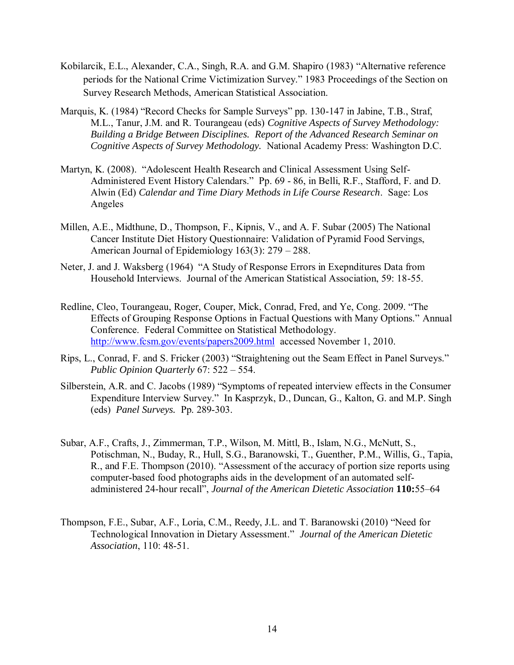- Kobilarcik, E.L., Alexander, C.A., Singh, R.A. and G.M. Shapiro (1983) "Alternative reference periods for the National Crime Victimization Survey." 1983 Proceedings of the Section on Survey Research Methods, American Statistical Association.
- Marquis, K. (1984) "Record Checks for Sample Surveys" pp. 130-147 in Jabine, T.B., Straf, M.L., Tanur, J.M. and R. Tourangeau (eds) *Cognitive Aspects of Survey Methodology: Building a Bridge Between Disciplines. Report of the Advanced Research Seminar on Cognitive Aspects of Survey Methodology.* National Academy Press: Washington D.C.
- Martyn, K. (2008). "Adolescent Health Research and Clinical Assessment Using Self-Administered Event History Calendars." Pp. 69 - 86, in Belli, R.F., Stafford, F. and D. Alwin (Ed) *Calendar and Time Diary Methods in Life Course Research*. Sage: Los Angeles
- Millen, A.E., Midthune, D., Thompson, F., Kipnis, V., and A. F. Subar (2005) The National Cancer Institute Diet History Questionnaire: Validation of Pyramid Food Servings, American Journal of Epidemiology 163(3): 279 – 288.
- Neter, J. and J. Waksberg (1964) "A Study of Response Errors in Exepnditures Data from Household Interviews. Journal of the American Statistical Association, 59: 18-55.
- Redline, Cleo, Tourangeau, Roger, Couper, Mick, Conrad, Fred, and Ye, Cong. 2009. "The Effects of Grouping Response Options in Factual Questions with Many Options." Annual Conference. Federal Committee on Statistical Methodology. <http://www.fcsm.gov/events/papers2009.html>accessed November 1, 2010.
- Rips, L., Conrad, F. and S. Fricker (2003) "Straightening out the Seam Effect in Panel Surveys." *Public Opinion Quarterly* 67: 522 – 554.
- Silberstein, A.R. and C. Jacobs (1989) "Symptoms of repeated interview effects in the Consumer Expenditure Interview Survey." In Kasprzyk, D., Duncan, G., Kalton, G. and M.P. Singh (eds) *Panel Surveys.* Pp. 289-303.
- Subar, A.F., Crafts, J., Zimmerman, T.P., Wilson, M. Mittl, B., Islam, N.G., McNutt, S., Potischman, N., Buday, R., Hull, S.G., Baranowski, T., Guenther, P.M., Willis, G., Tapia, R., and F.E. Thompson (2010). "Assessment of the accuracy of portion size reports using computer-based food photographs aids in the development of an automated selfadministered 24-hour recall", *Journal of the American Dietetic Association* **110:**55–64
- Thompson, F.E., Subar, A.F., Loria, C.M., Reedy, J.L. and T. Baranowski (2010) "Need for Technological Innovation in Dietary Assessment." *Journal of the American Dietetic Association*, 110: 48-51.